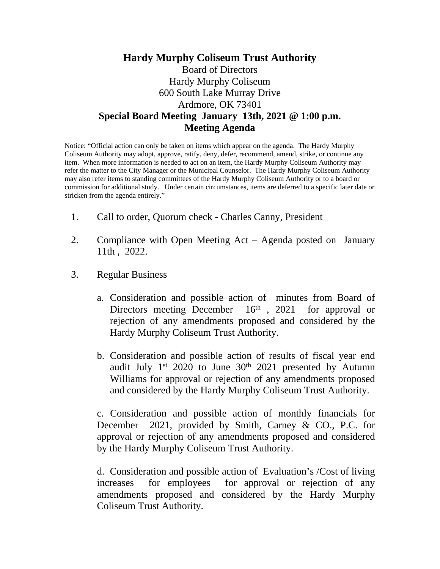## **Hardy Murphy Coliseum Trust Authority** Board of Directors Hardy Murphy Coliseum 600 South Lake Murray Drive Ardmore, OK 73401 **Special Board Meeting January 13th, 2021 @ 1:00 p.m. Meeting Agenda**

Notice: "Official action can only be taken on items which appear on the agenda. The Hardy Murphy Coliseum Authority may adopt, approve, ratify, deny, defer, recommend, amend, strike, or continue any item. When more information is needed to act on an item, the Hardy Murphy Coliseum Authority may refer the matter to the City Manager or the Municipal Counselor. The Hardy Murphy Coliseum Authority may also refer items to standing committees of the Hardy Murphy Coliseum Authority or to a board or commission for additional study. Under certain circumstances, items are deferred to a specific later date or stricken from the agenda entirely."

- 1. Call to order, Quorum check Charles Canny, President
- 2. Compliance with Open Meeting Act Agenda posted on January 11th , 2022.
- 3. Regular Business
	- a. Consideration and possible action of minutes from Board of Directors meeting December 16<sup>th</sup>, 2021 for approval or rejection of any amendments proposed and considered by the Hardy Murphy Coliseum Trust Authority.
	- b. Consideration and possible action of results of fiscal year end audit July 1<sup>st</sup> 2020 to June 30<sup>th</sup> 2021 presented by Autumn Williams for approval or rejection of any amendments proposed and considered by the Hardy Murphy Coliseum Trust Authority.

c. Consideration and possible action of monthly financials for December 2021, provided by Smith, Carney & CO., P.C. for approval or rejection of any amendments proposed and considered by the Hardy Murphy Coliseum Trust Authority.

d. Consideration and possible action of Evaluation's /Cost of living increases for employees for approval or rejection of any amendments proposed and considered by the Hardy Murphy Coliseum Trust Authority.